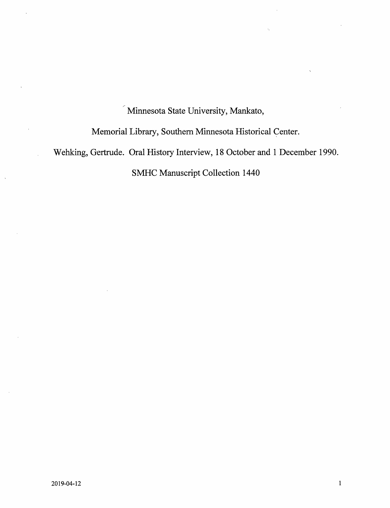Minnesota State University, Mankato,

Memorial Library, Southern Minnesota Historical Center.

Wehking, Gertrude. Oral History Interview, 18 October and 1 December 1990.

SMHC Manuscript Collection 1440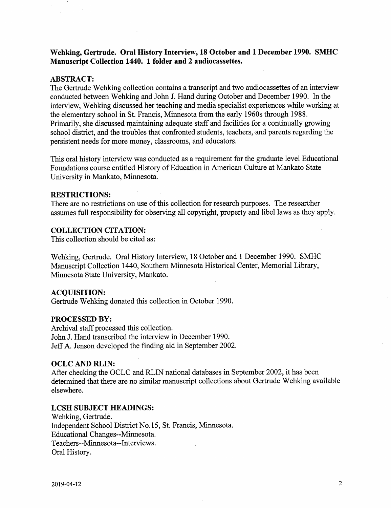Wehking, Gertrude, Oral History Interview, 18 October and 1 December 1990. SMHC Manuscript Collection 1440. 1 folder and 2 audiocassettes.

## ABSTRACT:

 $\Delta$ 

The Gertrude Wehking collection contains a transcript and two audiocassettes of an interview conducted between Wehking and John J. Hand during October and December 1990. In the interview, Wehking discussed her teaching and media specialist experiences while working at the elementary school in St. Francis, Minnesota from the early 1960s through 1988. Primarily, she discussed maintaining adequate staff and facilities for a continually growing school district, and the troubles that confronted students, teachers, and parents regarding the persistent needs for more money, classrooms, and educators.

This oral history interview was conducted as a requirement for the graduate level Educational Foundations course entitled History of Education in American Culture at Mankato State University in Mankato, Minnesota.

# RESTRICTIONS:

There are no restrictions on use of this collection for research purposes. The researcher assumes full responsibility for observing all copyright, property and libel laws as they apply.

# COLLECTION CITATION:

This collection should be cited as:

Wehking, Gertrude. Oral History Interview, 18 October and 1 December 1990. SMHC Manuscript Collection 1440, Southern Minnesota Historical Center, Memorial Library, Minnesota State University, Mankato.

## ACQUISITION:

Gertrude Wehking donated this collection in October 1990.

## PROCESSED BY:

Archival staff processed this collection. John J. Hand transcribed the interview in December 1990. Jeff A. Jenson developed the finding aid in September 2002.

# OCLC AND RLIN:

After checking the OCLC and RLIN national databases in September 2002, it has been determined that there are no similar manuscript collections about Gertrude Wehking available elsewhere.

## LCSH SUBJECT HEADINGS:

Wehking, Gertrude. Independent School District No. 15, St. Francis, Minnesota. Educational Changes—Minnesota. Teachers-Minnesota—Interviews. Oral History.